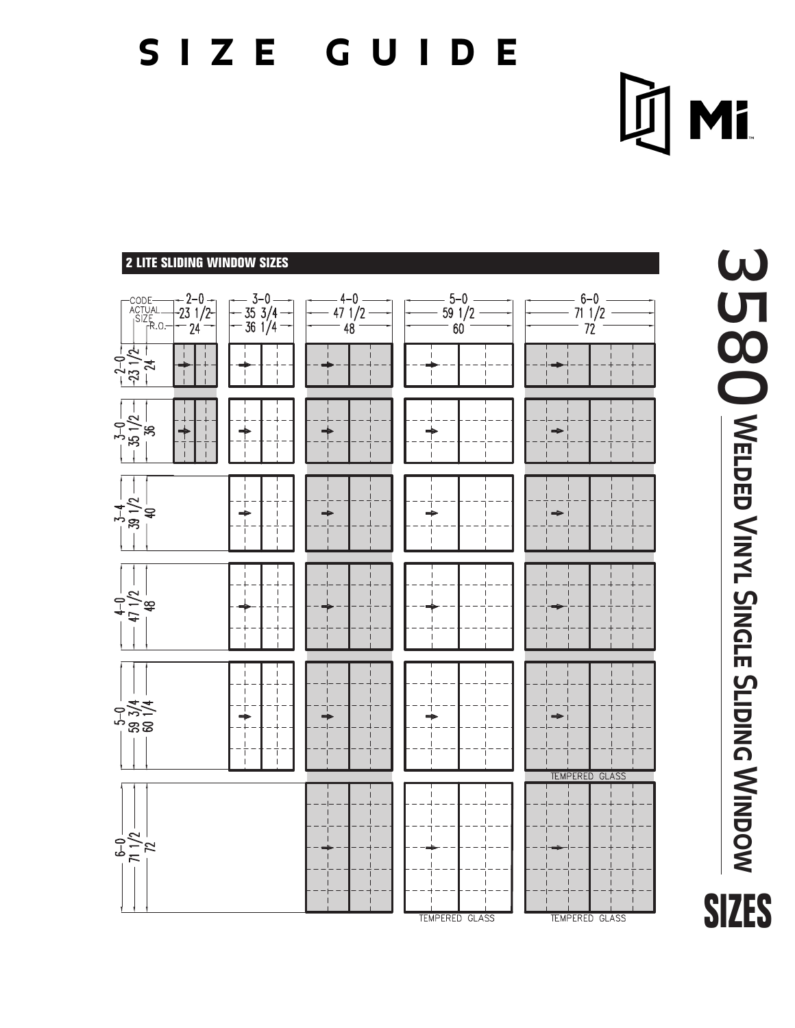# **size guide**

**DI Mi** 

### **2 LITE SLIDING WINDOW SIZES** $-3-0$ <br> $-35$  3/4<br> $-36$  1/4 -code<br>-- Actual<br>-- Size<br>-- Fr.o  $-2-0$  -<br>-23 1/2- $4 - 0$  $5 - 0$  $6 - 0$  $471/2$  $59 \frac{1}{2}$  $711/2$  $-24$ 48  $60<sup>2</sup>$  $72$  $\frac{-2-0}{-23\frac{1}{2}+\frac{2}{2}}$  $\begin{array}{|c|c|} \hline -3-0 & -12 \\ \hline -35 & 1/2 & -12 \\ \hline & 36 & -12 & -12 \\ \hline \end{array}$  $\rightarrow$  $\biguparrow$  $\begin{array}{c}\n+ \\
\hline\n-\end{array}$ ↟  $\Rightarrow$  $\big\}$  $-\frac{3-4}{39}$   $+\frac{1}{40}$  $\overline{1}$  $\Rightarrow$  $\Rightarrow$  $\frac{1}{2}$  $\mathbb{I}$  $-5-0$ <br>59 3/4<br>59 00  $\overline{\phantom{a}}$ TEMPERED GLASS  $rac{6-0}{71}$   $rac{1}{72}$

TEMPERED GLASS

TEMPERED GLASS

**Welded Vinyl Single S 5 80 WELDED VINYL SINGLE SLIDING WINDOW SIZES**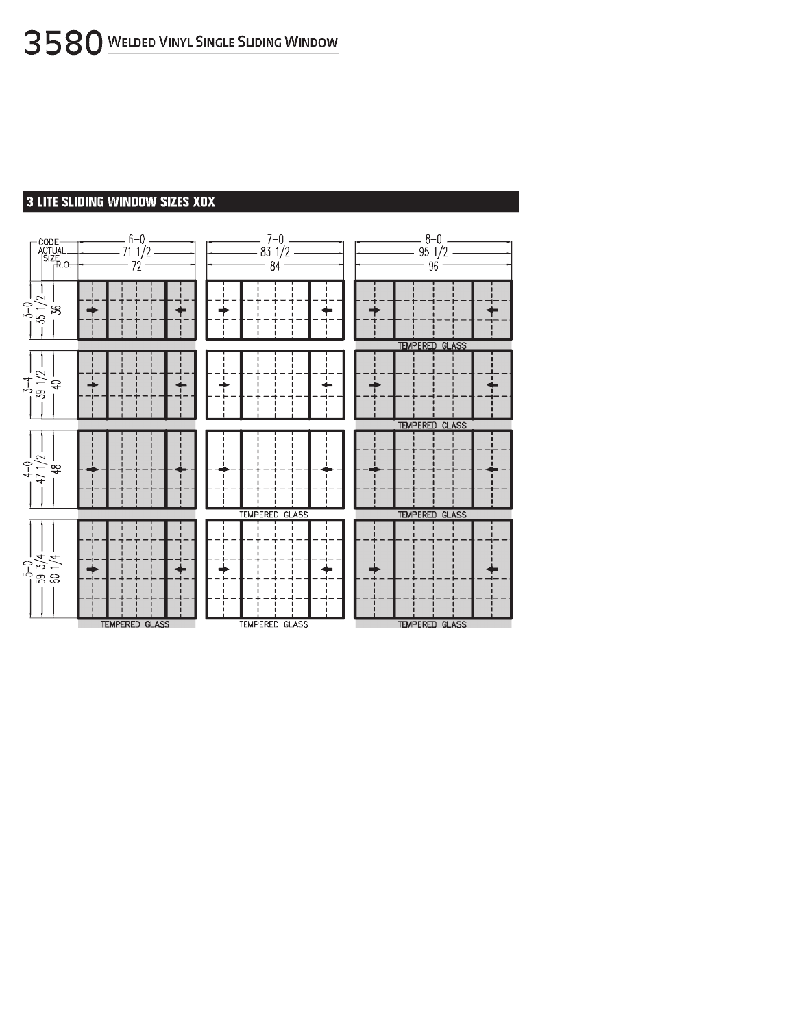#### 3 LITE SLIDING WINDOW SIZES XOX

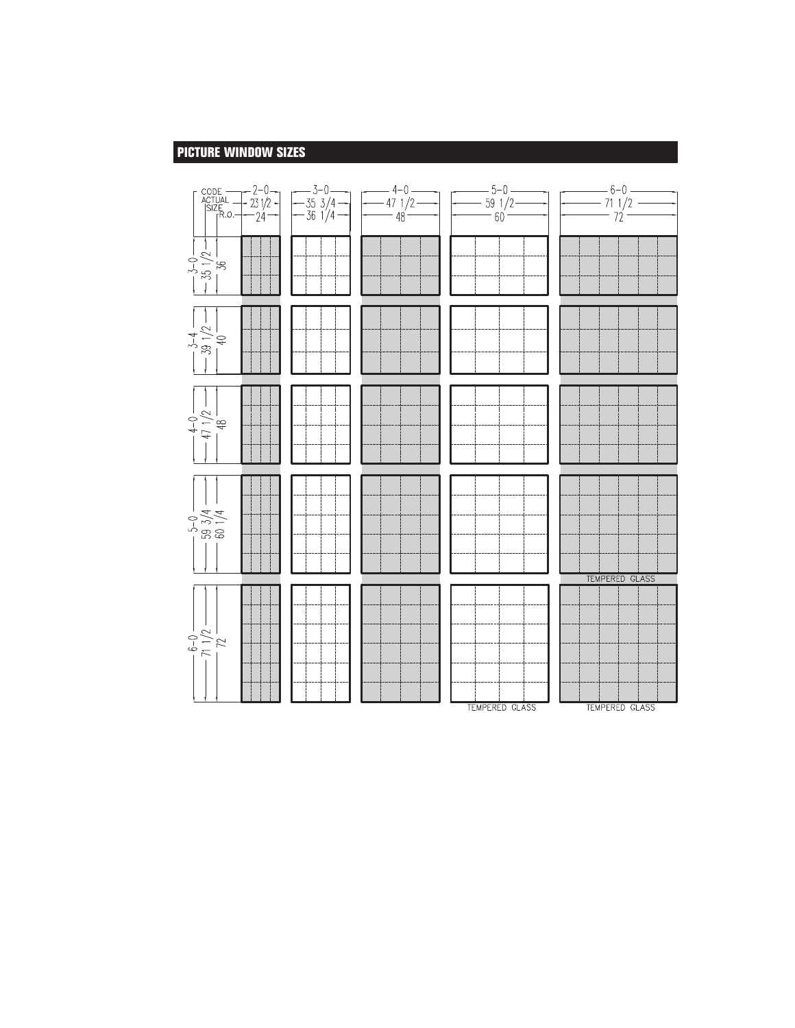#### **PICTURE WINDOW SIZES**

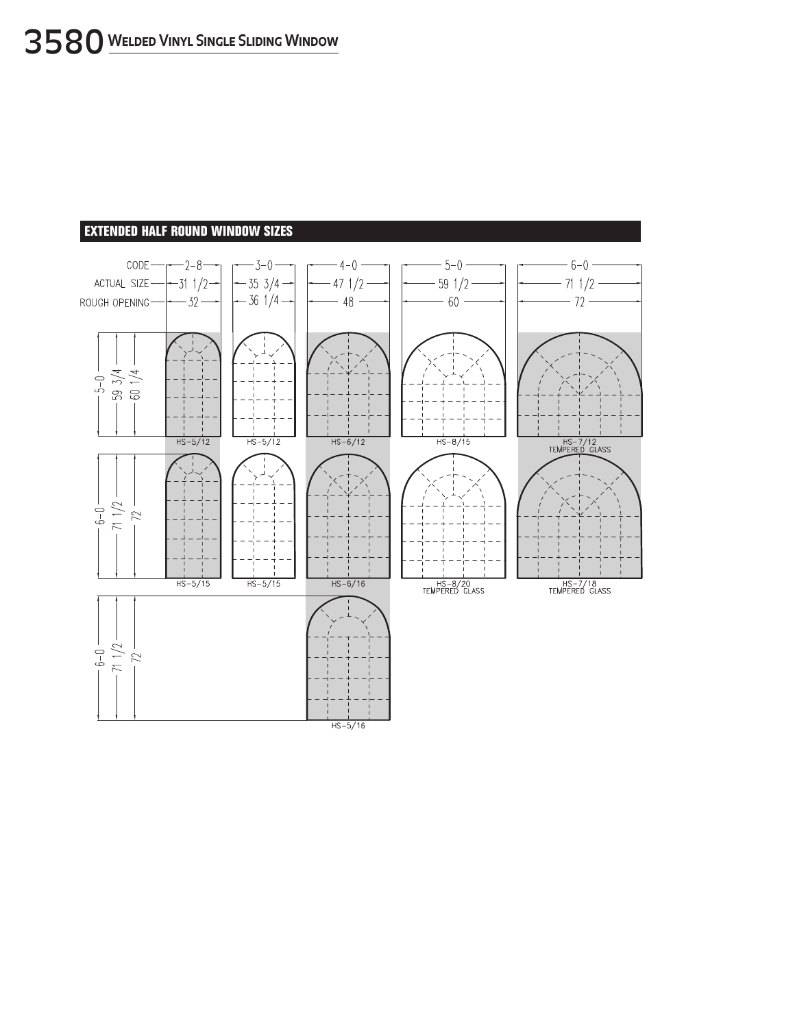#### **EXTENDED HALF ROUND WINDOW SIZES**

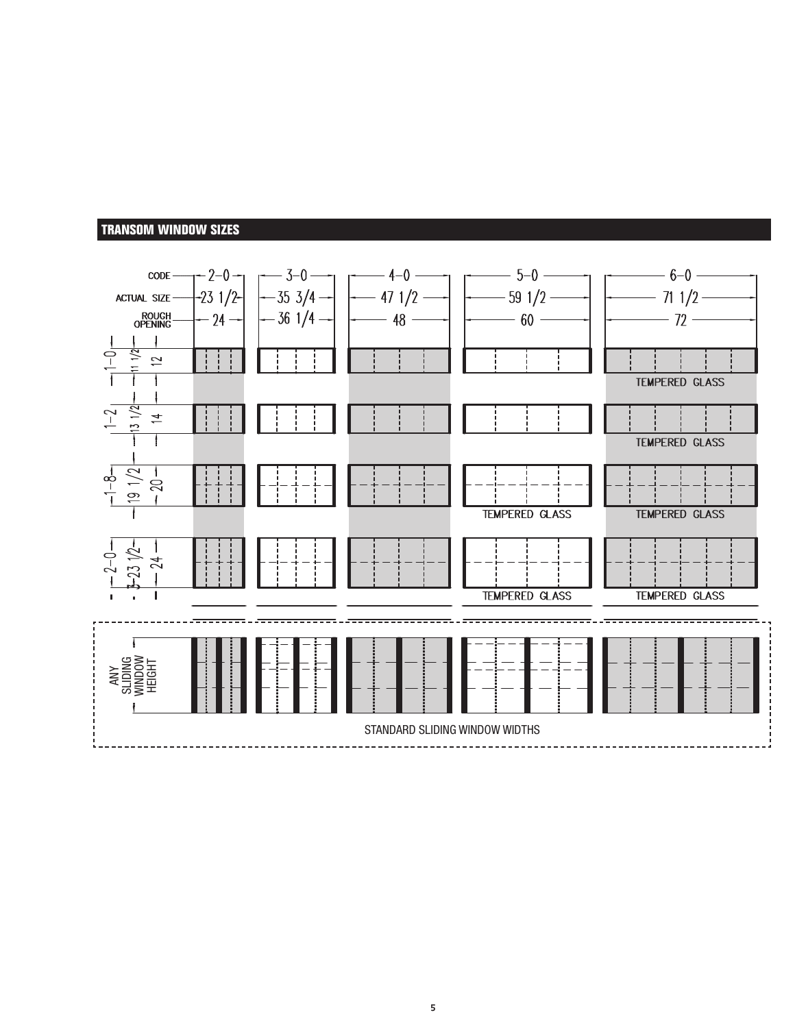#### **TRANSOM WINDOW SIZES**

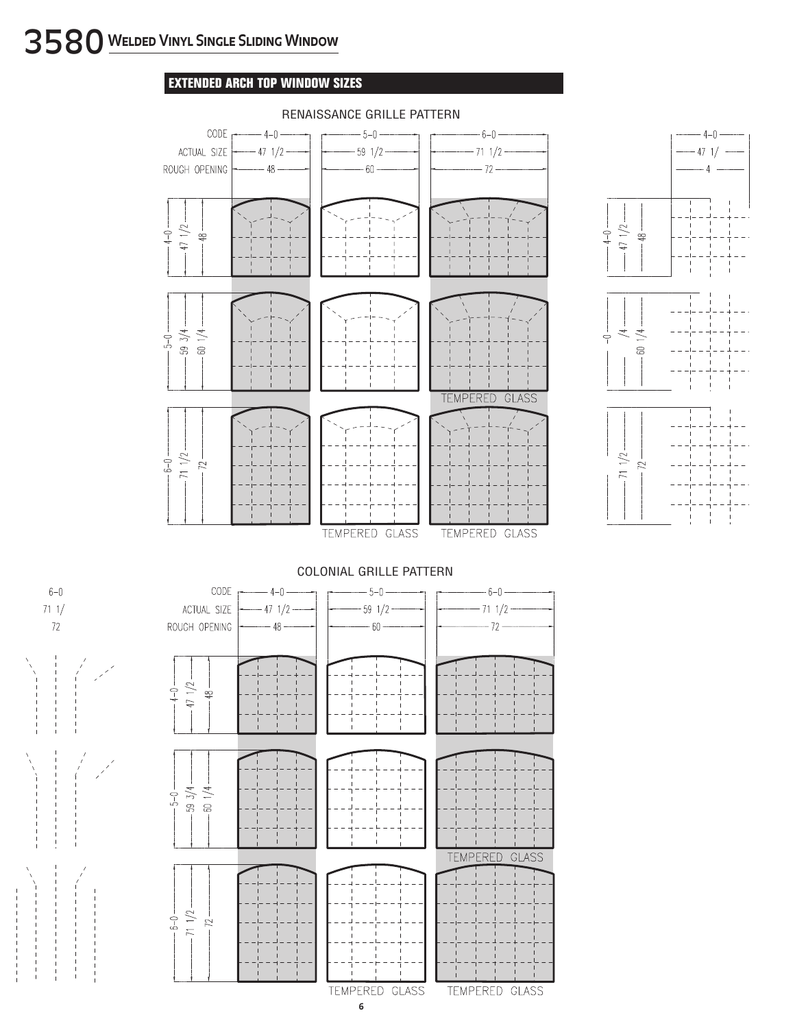#### **EXTENDED ARCH TOP WINDOW SIZES**



#### RENAISSANCE GRILLE PATTERN



 $_{6-0}$ 

 $711/$ 

 $72$ 



TEMPERED GLASS TEMPERED GLASS

**6**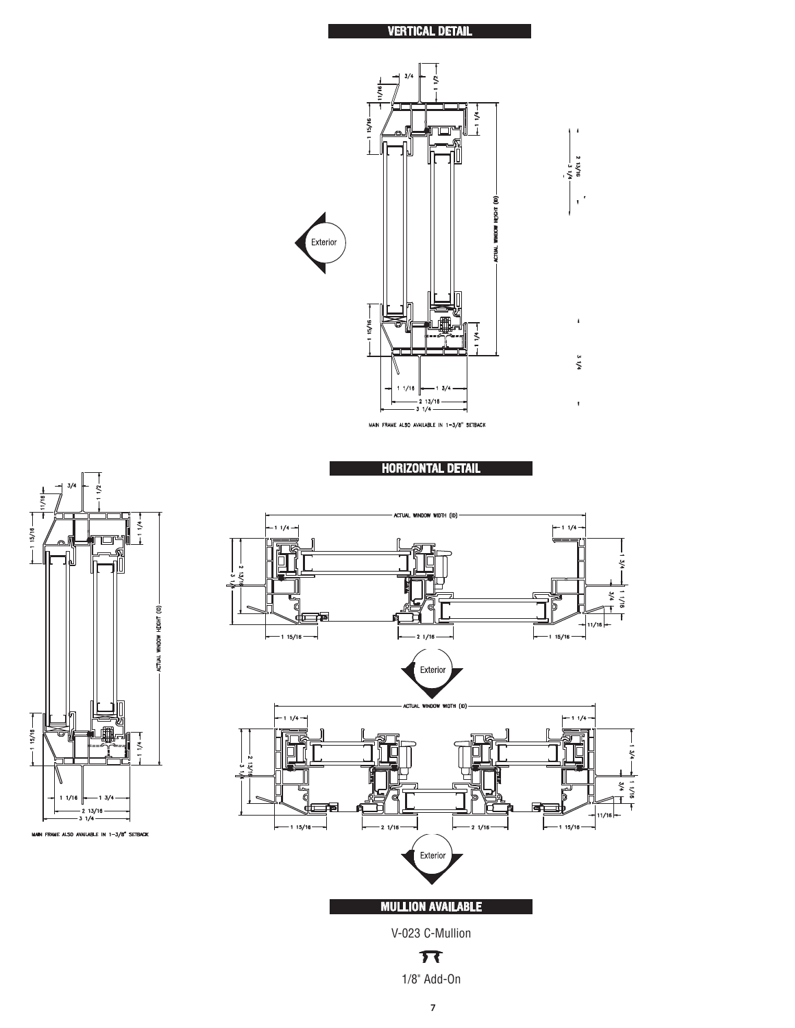









1/8" Add-On